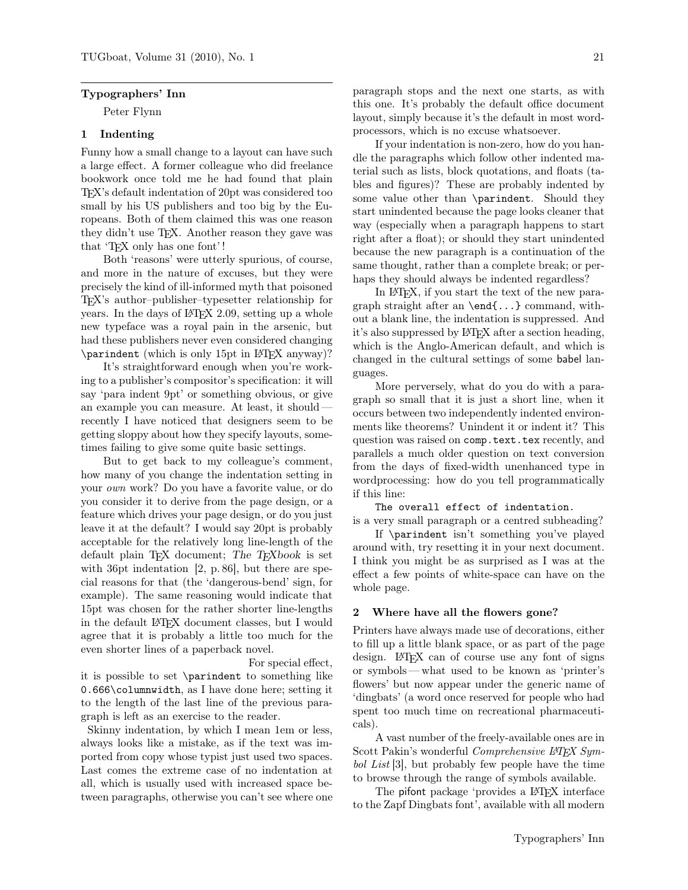### Typographers' Inn

Peter Flynn

# 1 Indenting

Funny how a small change to a layout can have such a large effect. A former colleague who did freelance bookwork once told me he had found that plain TEX's default indentation of 20pt was considered too small by his US publishers and too big by the Europeans. Both of them claimed this was one reason they didn't use TEX. Another reason they gave was that 'T<sub>F</sub>X only has one font'!

Both 'reasons' were utterly spurious, of course, and more in the nature of excuses, but they were precisely the kind of ill-informed myth that poisoned TEX's author–publisher–typesetter relationship for years. In the days of LAT<sub>EX</sub> 2.09, setting up a whole new typeface was a royal pain in the arsenic, but had these publishers never even considered changing \parindent (which is only 15pt in LATEX anyway)?

It's straightforward enough when you're working to a publisher's compositor's specification: it will say 'para indent 9pt' or something obvious, or give an example you can measure. At least, it should recently I have noticed that designers seem to be getting sloppy about how they specify layouts, sometimes failing to give some quite basic settings.

But to get back to my colleague's comment, how many of you change the indentation setting in your own work? Do you have a favorite value, or do you consider it to derive from the page design, or a feature which drives your page design, or do you just leave it at the default? I would say 20pt is probably acceptable for the relatively long line-length of the default plain TFX document; The TFXbook is set with 36pt indentation [2, p. 86], but there are special reasons for that (the 'dangerous-bend' sign, for example). The same reasoning would indicate that 15pt was chosen for the rather shorter line-lengths in the default LATEX document classes, but I would agree that it is probably a little too much for the even shorter lines of a paperback novel.

For special effect, it is possible to set \parindent to something like 0.666\columnwidth, as I have done here; setting it to the length of the last line of the previous paragraph is left as an exercise to the reader.

Skinny indentation, by which I mean 1em or less, always looks like a mistake, as if the text was imported from copy whose typist just used two spaces. Last comes the extreme case of no indentation at all, which is usually used with increased space between paragraphs, otherwise you can't see where one paragraph stops and the next one starts, as with this one. It's probably the default office document layout, simply because it's the default in most wordprocessors, which is no excuse whatsoever.

If your indentation is non-zero, how do you handle the paragraphs which follow other indented material such as lists, block quotations, and floats (tables and figures)? These are probably indented by some value other than \parindent. Should they start unindented because the page looks cleaner that way (especially when a paragraph happens to start right after a float); or should they start unindented because the new paragraph is a continuation of the same thought, rather than a complete break; or perhaps they should always be indented regardless?

In LATEX, if you start the text of the new paragraph straight after an  $\end{math}$ ... command, without a blank line, the indentation is suppressed. And it's also suppressed by LAT<sub>EX</sub> after a section heading, which is the Anglo-American default, and which is changed in the cultural settings of some babel languages.

More perversely, what do you do with a paragraph so small that it is just a short line, when it occurs between two independently indented environments like theorems? Unindent it or indent it? This question was raised on comp.text.tex recently, and parallels a much older question on text conversion from the days of fixed-width unenhanced type in wordprocessing: how do you tell programmatically if this line:

The overall effect of indentation.

is a very small paragraph or a centred subheading?

If \parindent isn't something you've played around with, try resetting it in your next document. I think you might be as surprised as I was at the effect a few points of white-space can have on the whole page.

# 2 Where have all the flowers gone?

Printers have always made use of decorations, either to fill up a little blank space, or as part of the page design. LAT<sub>E</sub>X can of course use any font of signs or symbols — what used to be known as 'printer's flowers' but now appear under the generic name of 'dingbats' (a word once reserved for people who had spent too much time on recreational pharmaceuticals).

A vast number of the freely-available ones are in Scott Pakin's wonderful Comprehensive LATEX Symbol List [3], but probably few people have the time to browse through the range of symbols available.

The pifont package 'provides a L<sup>AT</sup>FX interface to the Zapf Dingbats font', available with all modern